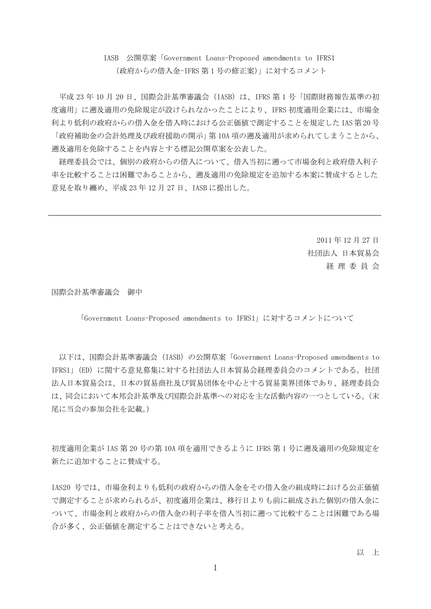# IASB 公開草案「Government Loans-Proposed amendments to IFRS1 (政府からの借入金-IFRS 第 1 号の修正案)」に対するコメント

平成 23年10月 20日、国際会計基準審議会 (IASB) は、IFRS 第1号「国際財務報告基準の初 度適用」に遡及適用の免除規定が設けられなかったことにより、IFRS 初度適用企業には、市場金 利より低利の政府からの借入金を借入時における公正価値で測定することを規定した IAS 第 20 号 「政府補助金の会計処理及び政府援助の開示」第 10A 項の遡及適用が求められてしまうことから、 遡及適用を免除することを内容とする標記公開草案を公表した。

経理委員会では、個別の政府からの借入について、借入当初に遡って市場金利と政府借入利子 率を比較することは困難であることから、遡及適用の免除規定を追加する本案に賛成するとした 意見を取り纏め、平成 23 年 12 月 27 日、IASB に提出した。

> 2011 年 12 月 27 日 社団法人 日本貿易会 経 理 委 員 会

国際会計基準審議会 御中

「Government Loans-Proposed amendments to IFRS1」に対するコメントについて

以下は、国際会計基準審議会 (IASB) の公開草案 「Government Loans-Proposed amendments to IFRS1」(ED)に関する意見募集に対する社団法人日本貿易会経理委員会のコメントである。社団 法人日本貿易会は、日本の貿易商社及び貿易団体を中心とする貿易業界団体であり、経理委員会 は、同会において本邦会計基準及び国際会計基準への対応を主な活動内容の一つとしている。(末 尾に当会の参加会社を記載。)

初度適用企業が IAS 第 20 号の第 10A 項を適用できるように IFRS 第 1 号に遡及適用の免除規定を 新たに追加することに賛成する。

IAS20 号では、市場金利よりも低利の政府からの借入金をその借入金の組成時における公正価値 で測定することが求められるが、初度適用企業は、移行日よりも前に組成された個別の借入金に ついて、市場金利と政府からの借入金の利子率を借入当初に遡って比較することは困難である場 合が多く、公正価値を測定することはできないと考える。

以 上

1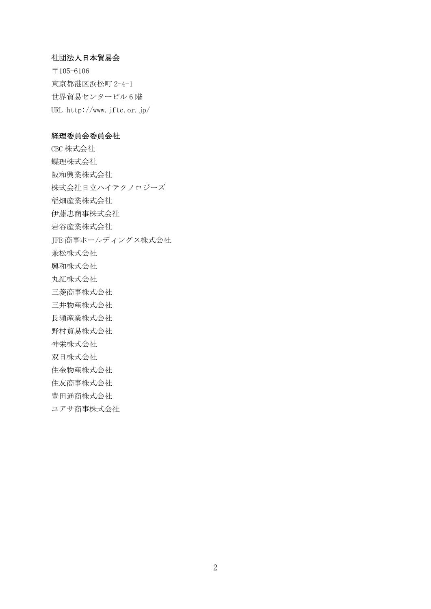#### 社団法人日本貿易会

〒105-6106 東京都港区浜松町 2-4-1 世界貿易センタービル 6 階 URL http://www.jftc.or.jp/

#### 経理委員会委員会社

CBC 株式会社 蝶理株式会社 阪和興業株式会社 株式会社日立ハイテクノロジーズ 稲畑産業株式会社 伊藤忠商事株式会社 岩谷産業株式会社 JFE 商事ホールディングス株式会社 兼松株式会社 興和株式会社 丸紅株式会社 三菱商事株式会社 三井物産株式会社 長瀬産業株式会社 野村貿易株式会社 神栄株式会社 双日株式会社 住金物産株式会社 住友商事株式会社 豊田通商株式会社 ユアサ商事株式会社

2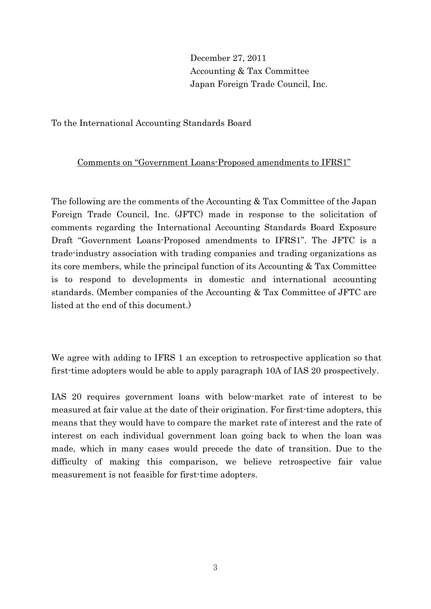December 27, 2011 Accounting & Tax Committee Japan Foreign Trade Council, Inc.

To the International Accounting Standards Board

## Comments on "Government Loans-Proposed amendments to IFRS1"

The following are the comments of the Accounting & Tax Committee of the Japan Foreign Trade Council, Inc. (JFTC) made in response to the solicitation of comments regarding the International Accounting Standards Board Exposure Draft "Government Loans-Proposed amendments to IFRS1". The JFTC is a trade-industry association with trading companies and trading organizations as its core members, while the principal function of its Accounting & Tax Committee is to respond to developments in domestic and international accounting standards. (Member companies of the Accounting & Tax Committee of JFTC are listed at the end of this document.)

We agree with adding to IFRS 1 an exception to retrospective application so that first-time adopters would be able to apply paragraph 10A of IAS 20 prospectively.

IAS 20 requires government loans with below-market rate of interest to be measured at fair value at the date of their origination. For first-time adopters, this means that they would have to compare the market rate of interest and the rate of interest on each individual government loan going back to when the loan was made, which in many cases would precede the date of transition. Due to the difficulty of making this comparison, we believe retrospective fair value measurement is not feasible for first-time adopters.